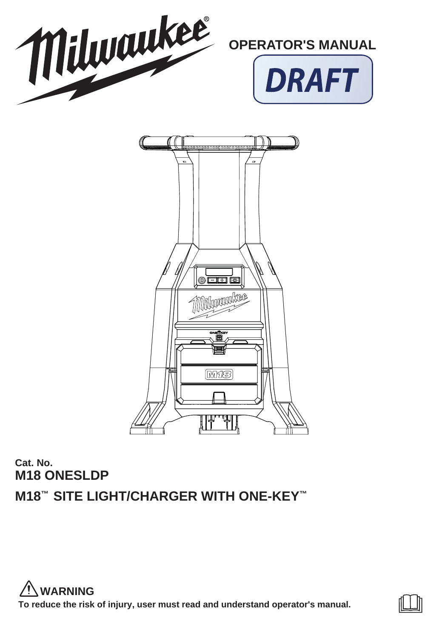

# **Cat. No. M18 ONESLDP M18™ SITE LIGHT/CHARGER WITH ONE-KEY™**

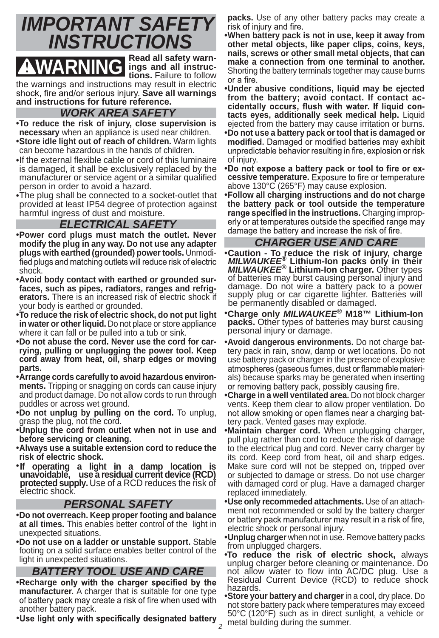

**WARNING** *ings* and all instruc-<br>tions. Failure to follow **tions.** Failure to follow the warnings and instructions may result in electric shock, fire and/or serious injury. **Save all warnings and instructions for future reference.** 

# *WORK AREA SAFETY*

- **To reduce the risk of injury, close supervision is necessary** when an appliance is used near children.
- **Store idle light out of reach of children.** Warm lights can become hazardous in the hands of children.
- If the external flexible cable or cord of this luminaire is damaged, it shall be exclusively replaced by the manufacturer or service agent or a similar qualified person in order to avoid a hazard.
- The plug shall be connected to a socket-outlet that provided at least IP54 degree of protection against harmful ingress of dust and moisture.

# *ELECTRICAL SAFETY*

- **Power cord plugs must match the outlet. Never modify the plug in any way. Do not use any adapter plugs with earthed (grounded) power tools.** Unmodishock.
- **Avoid body contact with earthed or grounded surfaces, such as pipes, radiators, ranges and refrigerators.** There is an increased risk of electric shock if your body is earthed or grounded.
- **To reduce the risk of electric shock, do not put light in water or other liquid.** Do not place or store appliance where it can fall or be pulled into a tub or sink.
- **•Do not abuse the cord. Never use the cord for carrying, pulling or unplugging the power tool. Keep cord away from heat, oil, sharp edges or moving parts.**
- **Arrange cords carefully to avoid hazardous environments.** Tripping or snagging on cords can cause injury and product damage. Do not allow cords to run through puddles or across wet ground.
- **Do not unplug by pulling on the cord.** To unplug, grasp the plug, not the cord.
- **Unplug the cord from outlet when not in use and before servicing or cleaning.**
- **Always use a suitable extension cord to reduce the risk of electric shock.**
- ٠lf **If operating a light in a damp location is unavoidable, use a residual current device (RCD) protected supply.** Use of a RCD reduces the risk of electric shock.

## *PERSONAL SAFETY*

- **Do not overreach. Keep proper footing and balance at all times.** This enables better control of the light in unexpected situations.
- **•Do not use on a ladder or unstable support.** Stable footing on a solid surface enables better control of the light in unexpected situations.

# *BATTERY TOOL USE AND CARE*

- **•Recharge only with the charger specified by the manufacturer.** A charger that is suitable for one type of battery pack may create a risk of fire when used with another battery pack.
- •Use light only with specifically designated battery and building during the summer.

**packs.** Use of any other battery packs may create a

 **When battery pack is not in use, keep it away from other metal objects, like paper clips, coins, keys, nails, screws or other small metal objects, that can make a connection from one terminal to another.**  Shorting the battery terminals together may cause burns or a fire.

- **Under abusive conditions, liquid may be ejected from the battery; avoid contact. If contact ac** cidentally occurs, flush with water. If liquid con**tacts eyes, additionally seek medical help.** Liquid ejected from the battery may cause irritation or burns.
- **Do not use a battery pack or tool that is damaged or**  unpredictable behavior resulting in fire, explosion or risk of injury.
- **.** Do not expose a battery pack or tool to fire or excessive temperature. Exposure to fire or temperature above 130°C (265°F) may cause explosion.
- **Follow all charging instructions and do not charge the battery pack or tool outside the temperature**  range specified in the instructions. Charging improperly or at temperatures outside the specified range may damage the battery and increase the risk of fire.

# *CHARGER USE AND CARE*

- **Caution To reduce the risk of injury, charge**  *MILWAUKEE***® Lithium-Ion packs only in their**  *MILWAUKEE***® Lithium-Ion charger.** Other types of batteries may burst causing personal injury and damage. Do not wire a battery pack to a power supply plug or car cigarette lighter. Batteries will be permanently disabled or damaged.
- **Charge only** *MILWAUKEE***® M18™ Lithium-Ion packs.** Other types of batteries may burst causing personal injury or damage.
- **Avoid dangerous environments.** Do not charge battery pack in rain, snow, damp or wet locations. Do not use battery pack or charger in the presence of explosive atmospheres (gaseous fumes, dust or flammable materials) because sparks may be generated when inserting or removing battery pack, possibly causing fire.
- **Charge in a well ventilated area.** Do not block charger vents. Keep them clear to allow proper ventilation. Do not allow smoking or open flames near a charging battery pack. Vented gases may explode.
- **Maintain charger cord.** When unplugging charger, pull plug rather than cord to reduce the risk of damage to the electrical plug and cord. Never carry charger by its cord. Keep cord from heat, oil and sharp edges. Make sure cord will not be stepped on, tripped over or subjected to damage or stress. Do not use charger with damaged cord or plug. Have a damaged charger replaced immediately.
- **Use only recommeded attachments.** Use of an attachment not recommended or sold by the battery charger or battery pack manufacturer may result in a risk of fire, electric shock or personal injury.
- **Unplug charger** when not in use. Remove battery packs from unplugged chargers.
- **To reduce the risk of electric shock,** always unplug charger before cleaning or maintenance. Do unplug charger before cleaning or maintenance. Do<br>not allow water to flow into AC/DC plug. Use a Residual Current Device (RCD) to reduce shock hazards.
- **Store your battery and charger** in a cool, dry place. Do not store battery pack where temperatures may exceed 50°C (120°F) such as in direct sunlight, a vehicle or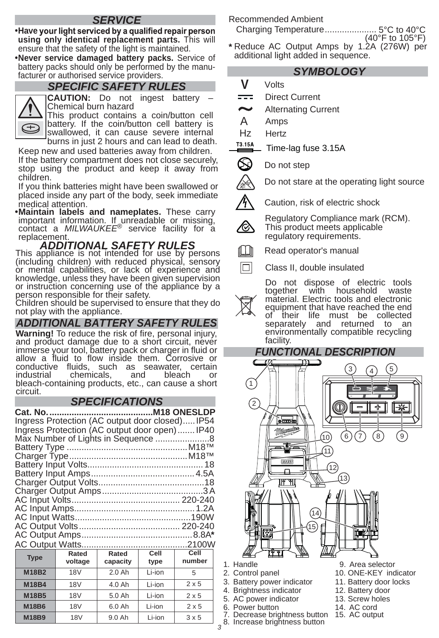# *SERVICE*

**•Have your light serviced by a qualified repair person using only identical replacement parts.** This will ensure that the safety of the light is maintained.

 **Never service damaged battery packs.** Service of battery packs should only be performed by the manufacturer or authorised service providers.

# *SPECIFIC SAFETY RULES*



CAUTION: Do not ingest battery Chemical burn hazard

This product contains a coin/button cell battery. If the coin/button cell battery is swallowed, it can cause severe internal burns in just 2 hours and can lead to death.

Keep new and used batteries away from children. If the battery compartment does not close securely, stop using the product and keep it away from children.

If you think batteries might have been swallowed or placed inside any part of the body, seek immediate medical attention.

.Maintain labels and nameplates. These carry **Maintain labels and nameplates.** These carry important information. If unreadable or missing, contact a *MILWAUKEE*® service facility for a replacement.

#### *ADDITIONAL SAFETY RULES* This appliance is not intended for use by persons (including children) with reduced physical, sensory or mental capabilities, or lack of experience and knowledge, unless they have been given supervision or instruction concerning use of the appliance by a person responsible for their safety.

Children should be supervised to ensure that they do not play with the appliance.

# *ADDITIONAL BATTERY SAFETY RULES*

**Warning!** To reduce the risk of fire, personal injury, and product damage due to a short circuit, never immerse your tool, battery pack or charger in fluid or allow a fluid to flow inside them. Corrosive or conductive fluids, such as seawater, certain<br>industrial chemicals, and bleach or chemicals, bleach-containing products, etc., can cause a short circuit.

# *SPECIFICATIONS*

|             | Ingress Protection (AC output door closed)IP54 |                  |      |        |
|-------------|------------------------------------------------|------------------|------|--------|
|             | Ingress Protection (AC output door open) IP40  |                  |      |        |
|             |                                                |                  |      |        |
|             |                                                |                  |      |        |
|             |                                                |                  |      |        |
|             |                                                |                  |      |        |
|             |                                                |                  |      |        |
|             |                                                |                  |      |        |
|             |                                                |                  |      |        |
|             |                                                |                  |      |        |
|             |                                                |                  |      |        |
|             |                                                |                  |      |        |
|             |                                                |                  |      |        |
|             |                                                |                  |      |        |
|             |                                                |                  |      |        |
| <b>Type</b> |                                                | Rated Rated I    | Cell | Cell   |
|             |                                                | voltage capacity | type | number |

| <b>Type</b>  | voltage         | capacity | type   | number       |
|--------------|-----------------|----------|--------|--------------|
| <b>M18B2</b> | <b>18V</b>      | 2.0 Ah   | Li-ion | 5            |
| <b>M18B4</b> | <b>18V</b>      | 4.0 Ah   | Li-ion | $2 \times 5$ |
| M18B5        | <b>18V</b>      | 5.0 Ah   | Li-ion | $2 \times 5$ |
| <b>M18B6</b> | 18 <sub>V</sub> | 6.0 Ah   | Li-ion | $2 \times 5$ |
| <b>M18B9</b> | <b>18V</b>      | 9.0 Ah   | Li-ion | 3x5          |

Recommended Ambient

Charging Temperature ..................... 5°C to 40°C

- $(40^\circ)$ F to  $105^\circ$ F)
- **\*** Reduce AC Output Amps by 1.2A (276W) per additional light added in sequence.

# *SYMBOLOGY*

- **V** Volts
- $=$ Direct Current
- Alternating Current
- A Amps
- Hz Hertz
- T3 15A Time-lag fuse 3.15A
- ∞ Do not step
	- Do not stare at the operating light source
- Caution, risk of electric shock

Regulatory Compliance mark (RCM). This product meets applicable regulatory requirements.



K),

Inl Class II, double insulated

> Do not dispose of electric tools<br>together with household waste household material. Electric tools and electronic equipment that have reached the end<br>of their life must be collected their life must be collected<br>arately and returned to an separately and returned to environmentally compatible recycling facility.



- Power button
- 7. Decrease brightness button
- *3* 8. Increase brightness button
- 
- 14. AC cord 15. AC output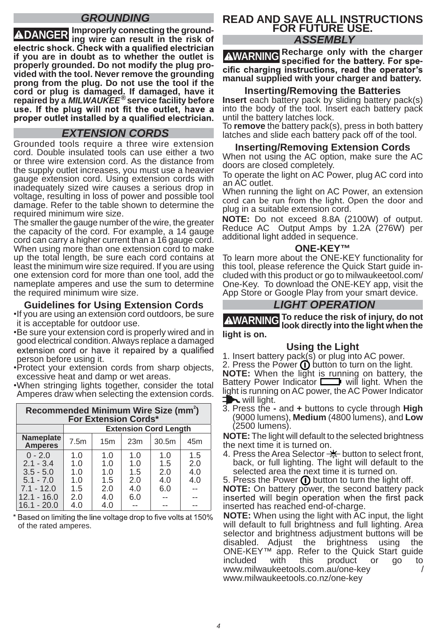# *GROUNDING*

**DANGER Improperly connecting the ground-ing wire can result in the risk of if you are in doubt as to whether the outlet is properly grounded. Do not modify the plug provided with the tool. Never remove the grounding prong from the plug. Do not use the tool if the cord or plug is damaged. If damaged, have it repaired by a** *MILWAUKEE***® service facility befor e**  proper outlet installed by a qualified electrician.

# *EXTENSION CORDS*

Grounded tools require a three wire extension cord. Double insulated tools can use either a two or three wire extension cord. As the distance from the supply outlet increases, you must use a heavier gauge extension cord. Using extension cords with inadequately sized wire causes a serious drop in voltage, resulting in loss of power and possible tool damage. Refer to the table shown to determine the required minimum wire size.

The smaller the gauge number of the wire, the greater the capacity of the cord. For example, a 14 gauge cord can carry a higher current than a 16 gauge cord. When using more than one extension cord to make up the total length, be sure each cord contains at least the minimum wire size required. If you are using one extension cord for more than one tool, add the nameplate amperes and use the sum to determine the required minimum wire size.

# **Guidelines for Using Extension Cords**<br>**If you are using an extension cord outdoors, be sure**

- it is acceptable for outdoor use.
- Be sure your extension cord is properly wired and in good electrical condition. Always replace a damaged extension cord or have it repaired by a qualified person before using it.
- Protect your extension cords from sharp objects, excessive heat and damp or wet areas.
- When stringing lights together, consider the total Amperes draw when selecting the extension cords.

| Recommended Minimum Wire Size (mm <sup>2</sup> )<br><b>For Extension Cords*</b> |                              |     |     |       |                 |
|---------------------------------------------------------------------------------|------------------------------|-----|-----|-------|-----------------|
|                                                                                 | <b>Extension Cord Length</b> |     |     |       |                 |
| Nameplate<br><b>Amperes</b>                                                     | 7.5m                         | 15m | 23m | 30.5m | 45 <sub>m</sub> |
| $0 - 2.0$                                                                       | 1.0                          | 1.0 | 1.0 | 1.0   | 1.5             |
| $2.1 - 3.4$                                                                     | 1.0                          | 1.0 | 1.0 | 1.5   | 2.0             |
| $3.5 - 5.0$                                                                     | 1.0                          | 1.0 | 1.5 | 2.0   | 4.0             |
| $5.1 - 7.0$                                                                     | 1.0                          | 1.5 | 2.0 | 4.0   | 4.0             |
| $7.1 - 12.0$                                                                    | 1.5                          | 2.0 | 4.0 | 6.0   |                 |
| $12.1 - 16.0$                                                                   | 2.0                          | 4.0 | 6.0 |       |                 |
| $16.1 - 20.0$                                                                   | 4.0                          | 4.0 |     |       |                 |

\* Based on limiting the line voltage drop to five volts at 150% of the rated amperes.

## **READ AND SAVE ALL INSTRUCTIONS FOR FUTURE USE.** *ASSEMBLY*

**AWARNING** Recharge only with the charger **AWARNING** specified for the battery. For specific charging instructions, read the operator's **manual supplied with your charger and battery.**

# **Inserting/Removing the Batteries**

**Insert** each battery pack by sliding battery pack(s) into the body of the tool. Insert each battery pack until the battery latches lock.

To **remove** the battery pack(s), press in both battery latches and slide each battery pack off of the tool.

# **Inserting/Removing Extension Cords**

When not using the AC option, make sure the AC doors are closed completely.

To operate the light on AC Power, plug AC cord into an AC outlet.

When running the light on AC Power, an extension plug in a suitable extension cord. cord can be run from the light. Open the door and

**NOTE:** Do not exceed 8.8A (2100W) of output. Reduce AC Output Amps by 1.2A (276W) per additional light added in sequence.

## **ONE-KEY™**

To learn more about the ONE-KEY functionality for this tool, please reference the Quick Start quide included with this product or go to milwaukeetool.com/ One-Key. To download the ONE-KEY app, visit the App Store or Google Play from your smart device.

# *LIGHT OPERATION*

**WARNING To reduce the risk of injury, do not look directly into the light when the** 

**light is on.**

# **Using the Light**

1. Insert battery pack $(\overline{s})$  or plug into AC power.

2. Press the Power  $\bf{0}$  button to turn on the light. **NOTE:** When the light is running on battery, the Battery Power Indicator **Will Light.** When the light is running on AC power, the AC Power Indicator  $\blacksquare$  will light.

3. Press the **-** and **+** buttons to cycle through **High** (9000 lumens), **Medium** (4800 lumens), and **Low**  (2500 lumens).

**NOTE:** The light will default to the selected brightness the next time it is turned on.

4. Press the Area Selector  $\frac{1}{\sqrt{2}}$  button to select front, back, or full lighting. The light will default to the selected area the next time it is turned on.

5. Press the Power  $\bf{0}$  button to turn the light off.

**NOTE:** On battery power, the second battery pack inserted will begin operation when the first pack inserted has reached end-of-charge.

**NOTE:** When using the light with AC input, the light will default to full brightness and full lighting. Area selector and brightness adjustment buttons will be<br>disabled. Adjust the brightness using the disabled. Adjust the brightness using the ONE-KEY™ app. Refer to the Quick Start guide included with this product or go to www.milwaukeetools.com.au/one-key / www.milwaukeetools.co.nz/one-key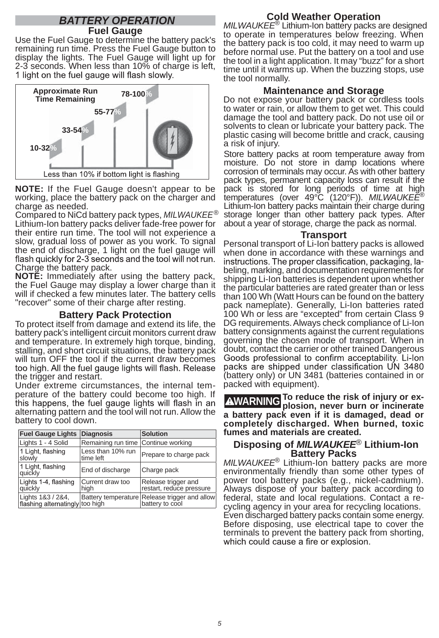## *BATTERY OPERATION* **Fuel Gauge**

Use the Fuel Gauge to determine the battery pack's remaining run time. Press the Fuel Gauge button to display the lights. The Fuel Gauge will light up for 2-3 seconds. When less than 10% of charge is left,<br>1 light on the fuel gauge will flash slowly.



**NOTE:** If the Fuel Gauge doesn't appear to be working, place the battery pack on the charger and charge as needed.

Compared to NiCd battery pack types, *MILWAUKEE*® Lithium-Ion battery packs deliver fade-free power for their entire run time. The tool will not experience a slow, gradual loss of power as you work. To signal the end of discharge, 1 light on the fuel gauge will flash quickly for 2-3 seconds and the tool will not run. Charge the battery pack.

**NOTE:** Immediately after using the battery pack, the Fuel Gauge may display a lower charge than it will if checked a few minutes later. The battery cells "recover" some of their charge after resting.

# **Battery Pack Protection**

To protect itself from damage and extend its life, the battery pack's intelligent circuit monitors current draw and temperature. In extremely high torque, binding, stalling, and short circuit situations, the battery pack will turn OFF the tool if the current draw becomes<br>too high. All the fuel gauge lights will flash. Release the trigger and restart.

Under extreme circumstances, the internal temperature of the battery could become too high. If this happens, the fuel gauge lights will flash in an alternating pattern and the tool will not run. Allow the battery to cool down.

| Fuel Gauge Lights Diagnosis                          |                                | <b>Solution</b>                                                  |
|------------------------------------------------------|--------------------------------|------------------------------------------------------------------|
| Lights 1 - 4 Solid                                   | Remaining run time             | Continue working                                                 |
| 1 Light, flashing<br>slowly                          | Less than 10% run<br>time left | Prepare to charge pack                                           |
| 1 Light, flashing<br>quickly                         | End of discharge               | Charge pack                                                      |
| Lights 1-4, flashing<br>quickly                      | Current draw too<br>high       | Release trigger and<br>restart, reduce pressure                  |
| Lights 1&3 / 2&4,<br>flashing alternatingly too high |                                | Battery temperature Release trigger and allow<br>battery to cool |

# **Cold Weather Operation**

*MILWAUKEE*® Lithium-Ion battery packs are designed to operate in temperatures below freezing. When the battery pack is too cold, it may need to warm up before normal use. Put the battery on a tool and use the tool in a light application. It may "buzz" for a short time until it warms up. When the buzzing stops, use the tool normally.

# **Maintenance and Storage**

Do not expose your battery pack or cordless tools to water or rain, or allow them to get wet. This could damage the tool and battery pack. Do not use oil or solvents to clean or lubricate your battery pack. The plastic casing will become brittle and crack, causing a risk of injury.

Store battery packs at room temperature away from moisture. Do not store in damp locations where corrosion of terminals may occur. As with other battery pack types, permanent capacity loss can result if the pack is stored for long periods of time at high temperatures (over 49°C (120°F)). *MILWAUKEE*® Lithium-Ion battery packs maintain their charge during storage longer than other battery pack types. After about a year of storage, charge the pack as normal.

#### **Transport**

Personal transport of Li-Ion battery packs is allowed<br>when done in accordance with these warnings and instructions. The proper classification, packaging, la-<br>beling, marking, and documentation requirements for shipping Li-Ion batteries is dependent upon whether the particular batteries are rated greater than or less than 100 Wh (Watt Hours can be found on the battery pack nameplate). Generally, Li-Ion batteries rated 100 Wh or less are "excepted" from certain Class 9 DG requirements. Always check compliance of Li-Ion battery consignments against the current regulations governing the chosen mode of transport. When in doubt, contact the carrier or other trained Dangerous<br>Goods professional to confirm acceptability. Li-lon packs are shipped under classification UN 3480 (battery only) or UN 3481 (batteries contained in or packed with equipment).

**WARNING To reduce the risk of injury or ex-plosion, never burn or incinerate a battery pack even if it is damaged, dead or completely discharged. When burned, toxic fumes and materials are created.**

#### **Disposing of** *MILWAUKEE*® **Lithium-Ion Battery Packs**

*MILWAUKEE*® Lithium-Ion battery packs are more environmentally friendly than some other types of power tool battery packs (e.g., nickel-cadmium). Always dispose of your battery pack according to federal, state and local regulations. Contact a recycling agency in your area for recycling locations. Even discharged battery packs contain some energy. Before disposing, use electrical tape to cover the terminals to prevent the battery pack from shorting,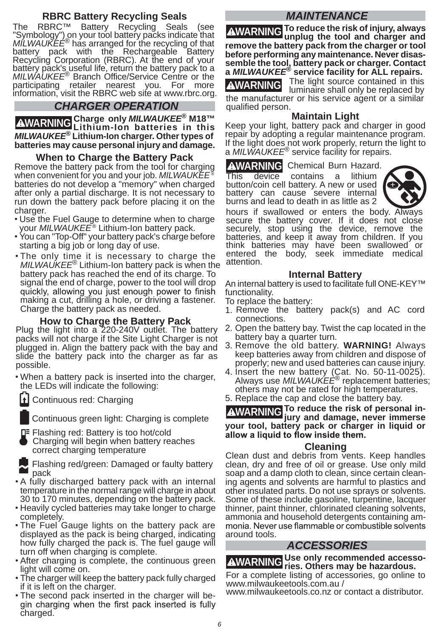# **RBRC Battery Recycling Seals**

The RBRC™ Battery Recycling Seals (see "Symbology") on your tool battery packs indicate that *MILWAUKEE*® has arranged for the recycling of that battery pack with the Rechargeable Battery Recycling Corporation (RBRC). At the end of your battery pack's useful life, return the battery pack to a *MILWAUKEE*® Branch Office/Service Centre or the participating retailer nearest you. For more information, visit the RBRC web site at www.rbrc.org.

# *CHARGER OPERATION*

**WARNING Charge only** *MILWAUKEE***® M18™ Lithium-Ion batteries in this**  *MILWAUKEE***® Lithium-Ion charger. Other types of batteries may cause personal injury and damage.**

#### **When to Charge the Battery Pack**

Remove the battery pack from the tool for charging when convenient for you and your job. *MILWAUKEE* ® batteries do not develop a "memory" when charged after only a partial discharge. It is not necessary to run down the battery pack before placing it on the charger.

- Use the Fuel Gauge to determine when to charge<br>your *MILWAUKEE®* Lithium-Ion battery pack.
- You can "Top-Off" your battery pack's charge before starting a big job or long day of use.
- The only time it is necessary to charge the *MILWAUKEE*® Lithium-Ion battery pack is when the battery pack has reached the end of its charge. To signal the end of charge, power to the tool will drop quickly, allowing you just enough power to finish making a cut, drilling a hole, or driving a fastener. Charge the battery pack as needed.

#### **How to Charge the Battery Pack**

Plug the light into a 220-240V outlet. The battery packs will not charge if the Site Light Charger is not plugged in. Align the battery pack with the bay and slide the battery pack into the charger as far as possible.

 When a battery pack is inserted into the charger, the LEDs will indicate the following:

1 Continuous red: Charging

Continuous green light: Charging is complete

- Flashing red: Battery is too hot/cold
- Charging will begin when battery reaches correct charging temperature
- Flashing red/green: Damaged or faulty battery **Prashing reargieen.** Damaged or rading battery<br>• A fully discharged battery pack with an internal
- temperature in the normal range will charge in about 30 to 170 minutes, depending on the battery pack.
- Heavily cycled batteries may take longer to charge completely.
- The Fuel Gauge lights on the battery pack are displayed as the pack is being charged, indicating how fully charged the pack is. The fuel gauge will turn off when charging is complete.
- After charging is complete, the continuous green light will come on.
- The charger will keep the battery pack fully charged if it is left on the charger.
- The second pack inserted in the charger will be-<br>gin charging when the first pack inserted is fully charged.

# *MAINTENANCE*

**WARNING To reduce the risk of injury, always unplug the tool and charger and remove the battery pack from the charger or tool before performing any maintenance. Never disassemble the tool, battery pack or charger. Contact a** *MILWAUKEE***® service facility for ALL repairs.**

**AWARNING** The light source contained in this luminaire shall only be replaced by the manufacturer or his service agent or a similar qualified person.

# **Maintain Light**

Keep your light, battery pack and charger in good repair by adopting a regular maintenance program. If the light does not work properly, return the light to a *MILWAUKEE*® service facility for repairs.

# **AWARNING** Chemical Burn Hazard.<br>This device contains a lithium

This device contains a button/coin cell battery. A new or used battery can cause severe internal burns and lead to death in as little as 2



hours if swallowed or enters the body. Always secure the battery cover. If it does not close securely, stop using the device, remove the batteries, and keep it away from children. If you think batteries may have been swallowed or entered the body, seek immediate medical attention.

## **Internal Battery**

An internal battery is used to facilitate full ONE-KEY™ functionality.

To replace the battery:

- 1. Remove the battery pack(s) and AC cord connections.
- 2. Open the battery bay. Twist the cap located in the battery bay a quarter turn.
- 3. Remove the old battery. **WARNING!** Always keep batteries away from children and dispose of properly; new and used batteries can cause injury.
- 4. Insert the new battery (Cat. No. 50-11-0025). Always use *MILWAUKEE*® replacement batteries; others may not be rated for high temperatures.
- 5. Replace the cap and close the battery bay.

**WARNING To reduce the risk of personal in-jury and damage, never immerse your tool, battery pack or charger in liquid or** 

## **Cleaning**

Clean dust and debris from vents. Keep handles clean, dry and free of oil or grease. Use only mild soap and a damp cloth to clean, since certain cleaning agents and solvents are harmful to plastics and other insulated parts. Do not use sprays or solvents. Some of these include gasoline, turpentine, lacquer thinner, paint thinner, chlorinated cleaning solvents, ammonia and household detergents containing amaround tools.

# *ACCESSORIES*

**WARNING Use only recommended accesso-ries. Others may be hazardous.**

For a complete listing of accessories, go online to www.milwaukeetools.com.au /

www.milwaukeetools.co.nz or contact a distributor.